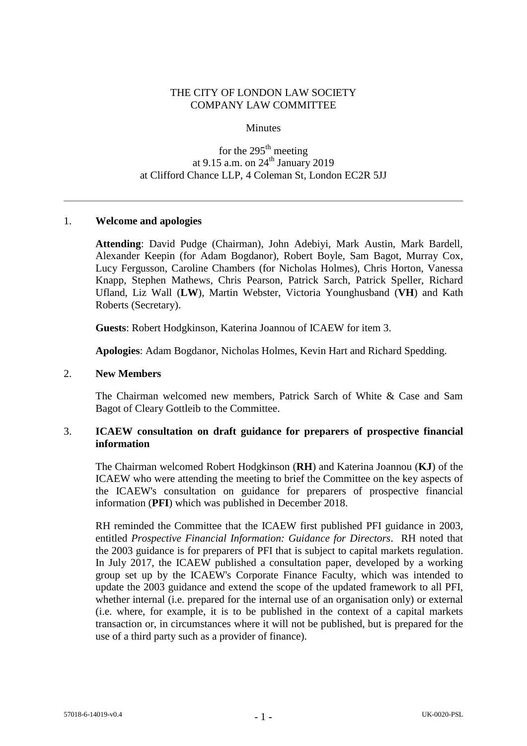### THE CITY OF LONDON LAW SOCIETY COMPANY LAW COMMITTEE

#### **Minutes**

# for the  $295<sup>th</sup>$  meeting at 9.15 a.m. on  $24^{\text{th}}$  January 2019 at Clifford Chance LLP, 4 Coleman St, London EC2R 5JJ

### 1. **Welcome and apologies**

**Attending**: David Pudge (Chairman), John Adebiyi, Mark Austin, Mark Bardell, Alexander Keepin (for Adam Bogdanor), Robert Boyle, Sam Bagot, Murray Cox, Lucy Fergusson, Caroline Chambers (for Nicholas Holmes), Chris Horton, Vanessa Knapp, Stephen Mathews, Chris Pearson, Patrick Sarch, Patrick Speller, Richard Ufland, Liz Wall (**LW**), Martin Webster, Victoria Younghusband (**VH**) and Kath Roberts (Secretary).

**Guests**: Robert Hodgkinson, Katerina Joannou of ICAEW for item 3.

**Apologies**: Adam Bogdanor, Nicholas Holmes, Kevin Hart and Richard Spedding.

#### 2. **New Members**

The Chairman welcomed new members, Patrick Sarch of White & Case and Sam Bagot of Cleary Gottleib to the Committee.

### 3. **ICAEW consultation on draft guidance for preparers of prospective financial information**

The Chairman welcomed Robert Hodgkinson (**RH**) and Katerina Joannou (**KJ**) of the ICAEW who were attending the meeting to brief the Committee on the key aspects of the ICAEW's consultation on guidance for preparers of prospective financial information (**PFI**) which was published in December 2018.

RH reminded the Committee that the ICAEW first published PFI guidance in 2003, entitled *Prospective Financial Information: Guidance for Directors*. RH noted that the 2003 guidance is for preparers of PFI that is subject to capital markets regulation. In July 2017, the ICAEW published a consultation paper, developed by a working group set up by the ICAEW's Corporate Finance Faculty, which was intended to update the 2003 guidance and extend the scope of the updated framework to all PFI, whether internal (i.e. prepared for the internal use of an organisation only) or external (i.e. where, for example, it is to be published in the context of a capital markets transaction or, in circumstances where it will not be published, but is prepared for the use of a third party such as a provider of finance).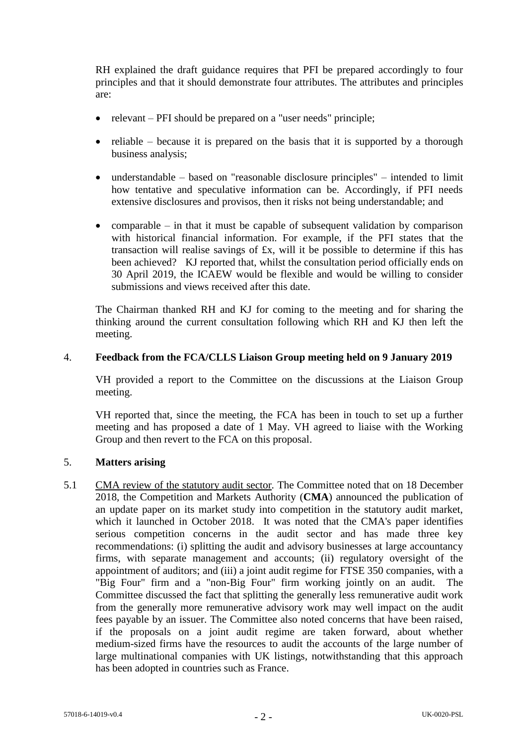RH explained the draft guidance requires that PFI be prepared accordingly to four principles and that it should demonstrate four attributes. The attributes and principles are:

- relevant PFI should be prepared on a "user needs" principle;
- reliable because it is prepared on the basis that it is supported by a thorough business analysis;
- understandable based on "reasonable disclosure principles" intended to limit how tentative and speculative information can be. Accordingly, if PFI needs extensive disclosures and provisos, then it risks not being understandable; and
- comparable in that it must be capable of subsequent validation by comparison with historical financial information. For example, if the PFI states that the transaction will realise savings of £x, will it be possible to determine if this has been achieved?KJ reported that, whilst the consultation period officially ends on 30 April 2019, the ICAEW would be flexible and would be willing to consider submissions and views received after this date.

The Chairman thanked RH and KJ for coming to the meeting and for sharing the thinking around the current consultation following which RH and KJ then left the meeting.

### 4. **Feedback from the FCA/CLLS Liaison Group meeting held on 9 January 2019**

VH provided a report to the Committee on the discussions at the Liaison Group meeting.

VH reported that, since the meeting, the FCA has been in touch to set up a further meeting and has proposed a date of 1 May. VH agreed to liaise with the Working Group and then revert to the FCA on this proposal.

# 5. **Matters arising**

5.1 CMA review of the statutory audit sector*.* The Committee noted that on 18 December 2018, the Competition and Markets Authority (**CMA**) announced the publication of an update paper on its market study into competition in the statutory audit market, which it launched in October 2018. It was noted that the CMA's paper identifies serious competition concerns in the audit sector and has made three key recommendations: (i) splitting the audit and advisory businesses at large accountancy firms, with separate management and accounts; (ii) regulatory oversight of the appointment of auditors; and (iii) a joint audit regime for FTSE 350 companies, with a "Big Four" firm and a "non-Big Four" firm working jointly on an audit. The Committee discussed the fact that splitting the generally less remunerative audit work from the generally more remunerative advisory work may well impact on the audit fees payable by an issuer. The Committee also noted concerns that have been raised, if the proposals on a joint audit regime are taken forward, about whether medium-sized firms have the resources to audit the accounts of the large number of large multinational companies with UK listings, notwithstanding that this approach has been adopted in countries such as France.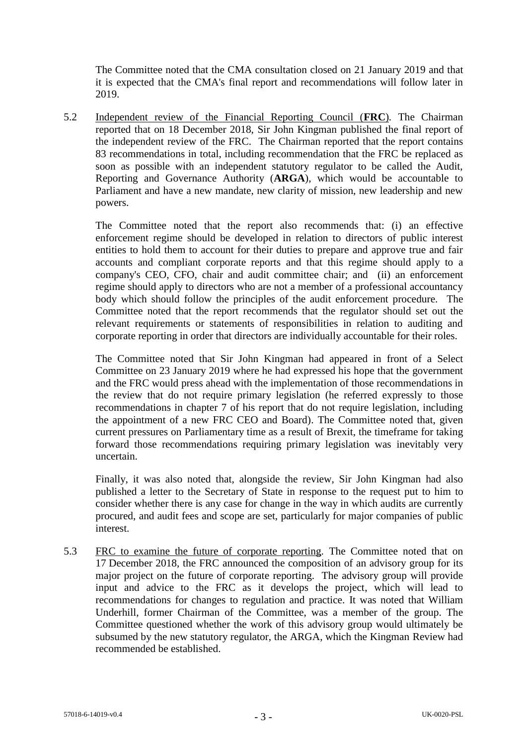The Committee noted that the CMA consultation closed on 21 January 2019 and that it is expected that the CMA's final report and recommendations will follow later in 2019.

5.2 Independent review of the Financial Reporting Council (**FRC**)*.* The Chairman reported that on 18 December 2018, Sir John Kingman published the final report of the independent review of the FRC. The Chairman reported that the report contains 83 recommendations in total, including recommendation that the FRC be replaced as soon as possible with an independent statutory regulator to be called the Audit, Reporting and Governance Authority (**ARGA**), which would be accountable to Parliament and have a new mandate, new clarity of mission, new leadership and new powers.

The Committee noted that the report also recommends that: (i) an effective enforcement regime should be developed in relation to directors of public interest entities to hold them to account for their duties to prepare and approve true and fair accounts and compliant corporate reports and that this regime should apply to a company's CEO, CFO, chair and audit committee chair; and (ii) an enforcement regime should apply to directors who are not a member of a professional accountancy body which should follow the principles of the audit enforcement procedure. The Committee noted that the report recommends that the regulator should set out the relevant requirements or statements of responsibilities in relation to auditing and corporate reporting in order that directors are individually accountable for their roles.

The Committee noted that Sir John Kingman had appeared in front of a Select Committee on 23 January 2019 where he had expressed his hope that the government and the FRC would press ahead with the implementation of those recommendations in the review that do not require primary legislation (he referred expressly to those recommendations in chapter 7 of his report that do not require legislation, including the appointment of a new FRC CEO and Board). The Committee noted that, given current pressures on Parliamentary time as a result of Brexit, the timeframe for taking forward those recommendations requiring primary legislation was inevitably very uncertain.

Finally, it was also noted that, alongside the review, Sir John Kingman had also published a letter to the Secretary of State in response to the request put to him to consider whether there is any case for change in the way in which audits are currently procured, and audit fees and scope are set, particularly for major companies of public interest.

5.3 FRC to examine the future of corporate reporting*.* The Committee noted that on 17 December 2018, the FRC announced the composition of an advisory group for its major project on the future of corporate reporting. The advisory group will provide input and advice to the FRC as it develops the project, which will lead to recommendations for changes to regulation and practice. It was noted that William Underhill, former Chairman of the Committee, was a member of the group. The Committee questioned whether the work of this advisory group would ultimately be subsumed by the new statutory regulator, the ARGA, which the Kingman Review had recommended be established.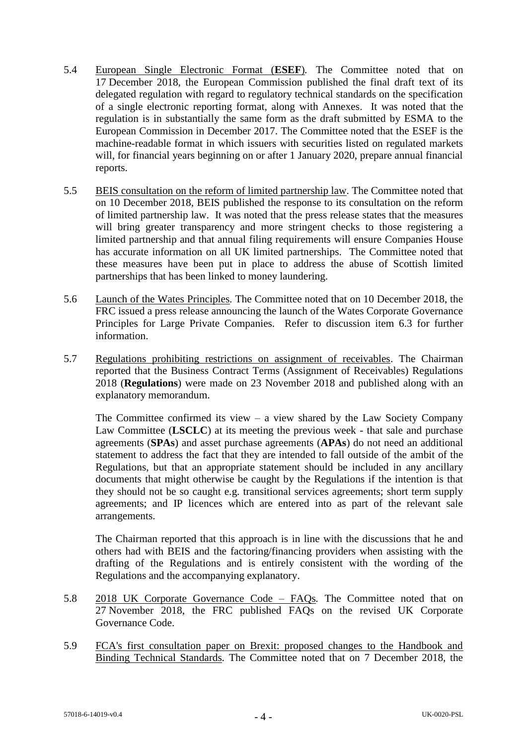- 5.4 European Single Electronic Format (**ESEF**)*.* The Committee noted that on 17 December 2018, the European Commission published the final draft text of its delegated regulation with regard to regulatory technical standards on the specification of a single electronic reporting format, along with Annexes. It was noted that the regulation is in substantially the same form as the draft submitted by ESMA to the European Commission in December 2017. The Committee noted that the ESEF is the machine-readable format in which issuers with securities listed on regulated markets will, for financial years beginning on or after 1 January 2020, prepare annual financial reports.
- 5.5 BEIS consultation on the reform of limited partnership law. The Committee noted that on 10 December 2018, BEIS published the response to its consultation on the reform of limited partnership law. It was noted that the press release states that the measures will bring greater transparency and more stringent checks to those registering a limited partnership and that annual filing requirements will ensure Companies House has accurate information on all UK limited partnerships. The Committee noted that these measures have been put in place to address the abuse of Scottish limited partnerships that has been linked to money laundering.
- 5.6 Launch of the Wates Principles*.* The Committee noted that on 10 December 2018, the FRC issued a press release announcing the launch of the Wates Corporate Governance Principles for Large Private Companies. Refer to discussion item 6.3 for further information.
- 5.7 Regulations prohibiting restrictions on assignment of receivables. The Chairman reported that the Business Contract Terms (Assignment of Receivables) Regulations 2018 (**Regulations**) were made on 23 November 2018 and published along with an explanatory memorandum.

The Committee confirmed its view – a view shared by the Law Society Company Law Committee (**LSCLC**) at its meeting the previous week - that sale and purchase agreements (**SPAs**) and asset purchase agreements (**APAs**) do not need an additional statement to address the fact that they are intended to fall outside of the ambit of the Regulations, but that an appropriate statement should be included in any ancillary documents that might otherwise be caught by the Regulations if the intention is that they should not be so caught e.g. transitional services agreements; short term supply agreements; and IP licences which are entered into as part of the relevant sale arrangements.

The Chairman reported that this approach is in line with the discussions that he and others had with BEIS and the factoring/financing providers when assisting with the drafting of the Regulations and is entirely consistent with the wording of the Regulations and the accompanying explanatory.

- 5.8 2018 UK Corporate Governance Code FAQs*.* The Committee noted that on 27 November 2018, the FRC published FAQs on the revised UK Corporate Governance Code.
- 5.9 FCA's first consultation paper on Brexit: proposed changes to the Handbook and Binding Technical Standards*.* The Committee noted that on 7 December 2018, the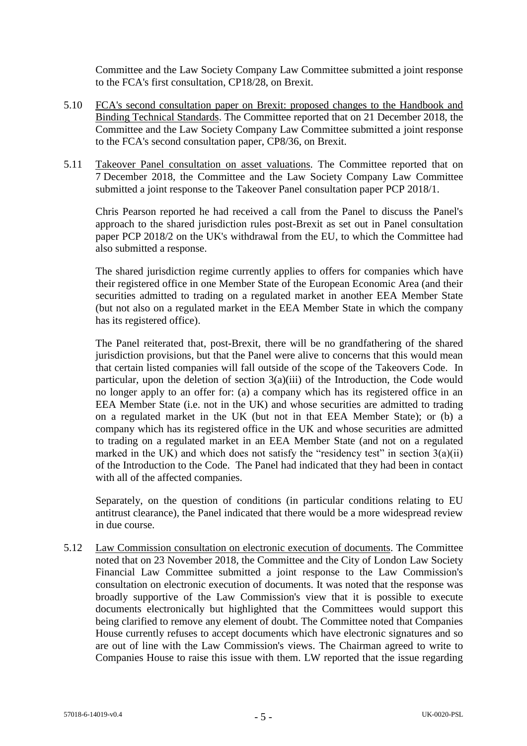Committee and the Law Society Company Law Committee submitted a joint response to the FCA's first consultation, CP18/28, on Brexit.

- 5.10 FCA's second consultation paper on Brexit: proposed changes to the Handbook and Binding Technical Standards. The Committee reported that on 21 December 2018, the Committee and the Law Society Company Law Committee submitted a joint response to the FCA's second consultation paper, CP8/36, on Brexit.
- 5.11 Takeover Panel consultation on asset valuations*.* The Committee reported that on 7 December 2018, the Committee and the Law Society Company Law Committee submitted a joint response to the Takeover Panel consultation paper PCP 2018/1.

Chris Pearson reported he had received a call from the Panel to discuss the Panel's approach to the shared jurisdiction rules post-Brexit as set out in Panel consultation paper PCP 2018/2 on the UK's withdrawal from the EU, to which the Committee had also submitted a response.

The shared jurisdiction regime currently applies to offers for companies which have their registered office in one Member State of the European Economic Area (and their securities admitted to trading on a regulated market in another EEA Member State (but not also on a regulated market in the EEA Member State in which the company has its registered office).

The Panel reiterated that, post-Brexit, there will be no grandfathering of the shared jurisdiction provisions, but that the Panel were alive to concerns that this would mean that certain listed companies will fall outside of the scope of the Takeovers Code. In particular, upon the deletion of section  $3(a)(iii)$  of the Introduction, the Code would no longer apply to an offer for: (a) a company which has its registered office in an EEA Member State (i.e. not in the UK) and whose securities are admitted to trading on a regulated market in the UK (but not in that EEA Member State); or (b) a company which has its registered office in the UK and whose securities are admitted to trading on a regulated market in an EEA Member State (and not on a regulated marked in the UK) and which does not satisfy the "residency test" in section  $3(a)(ii)$ of the Introduction to the Code. The Panel had indicated that they had been in contact with all of the affected companies.

Separately, on the question of conditions (in particular conditions relating to EU antitrust clearance), the Panel indicated that there would be a more widespread review in due course.

5.12 Law Commission consultation on electronic execution of documents. The Committee noted that on 23 November 2018, the Committee and the City of London Law Society Financial Law Committee submitted a joint response to the Law Commission's consultation on electronic execution of documents. It was noted that the response was broadly supportive of the Law Commission's view that it is possible to execute documents electronically but highlighted that the Committees would support this being clarified to remove any element of doubt. The Committee noted that Companies House currently refuses to accept documents which have electronic signatures and so are out of line with the Law Commission's views. The Chairman agreed to write to Companies House to raise this issue with them. LW reported that the issue regarding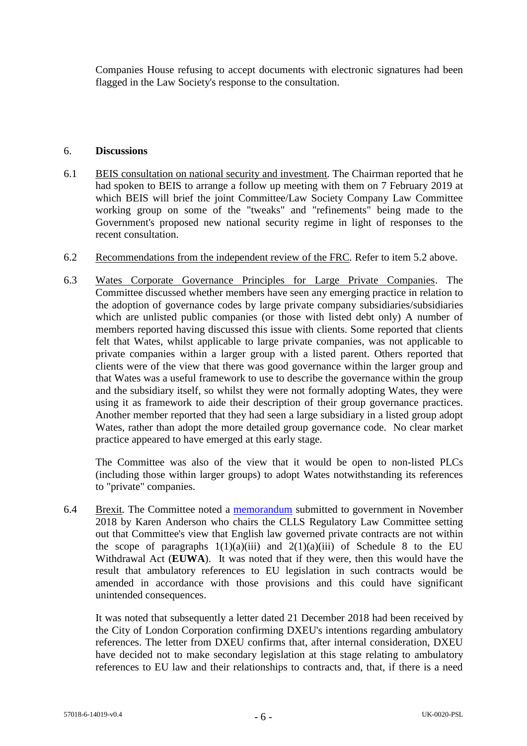Companies House refusing to accept documents with electronic signatures had been flagged in the Law Society's response to the consultation.

#### 6. **Discussions**

- 6.1 BEIS consultation on national security and investment*.* The Chairman reported that he had spoken to BEIS to arrange a follow up meeting with them on 7 February 2019 at which BEIS will brief the joint Committee/Law Society Company Law Committee working group on some of the "tweaks" and "refinements" being made to the Government's proposed new national security regime in light of responses to the recent consultation.
- 6.2 Recommendations from the independent review of the FRC*.* Refer to item 5.2 above.
- 6.3 Wates Corporate Governance Principles for Large Private Companies. The Committee discussed whether members have seen any emerging practice in relation to the adoption of governance codes by large private company subsidiaries/subsidiaries which are unlisted public companies (or those with listed debt only) A number of members reported having discussed this issue with clients. Some reported that clients felt that Wates, whilst applicable to large private companies, was not applicable to private companies within a larger group with a listed parent. Others reported that clients were of the view that there was good governance within the larger group and that Wates was a useful framework to use to describe the governance within the group and the subsidiary itself, so whilst they were not formally adopting Wates, they were using it as framework to aide their description of their group governance practices. Another member reported that they had seen a large subsidiary in a listed group adopt Wates, rather than adopt the more detailed group governance code. No clear market practice appeared to have emerged at this early stage.

The Committee was also of the view that it would be open to non-listed PLCs (including those within larger groups) to adopt Wates notwithstanding its references to "private" companies.

6.4 Brexit*.* The Committee noted a [memorandum](http://www.citysolicitors.org.uk/attachments/article/106/CLLS%20endorsed%20memorandum%20on%20private%20contracts%20and%20Schedule..pdf) submitted to government in November 2018 by Karen Anderson who chairs the CLLS Regulatory Law Committee setting out that Committee's view that English law governed private contracts are not within the scope of paragraphs  $1(1)(a)(iii)$  and  $2(1)(a)(iii)$  of Schedule 8 to the EU Withdrawal Act (**EUWA**). It was noted that if they were, then this would have the result that ambulatory references to EU legislation in such contracts would be amended in accordance with those provisions and this could have significant unintended consequences.

It was noted that subsequently a letter dated 21 December 2018 had been received by the City of London Corporation confirming DXEU's intentions regarding ambulatory references. The letter from DXEU confirms that, after internal consideration, DXEU have decided not to make secondary legislation at this stage relating to ambulatory references to EU law and their relationships to contracts and, that, if there is a need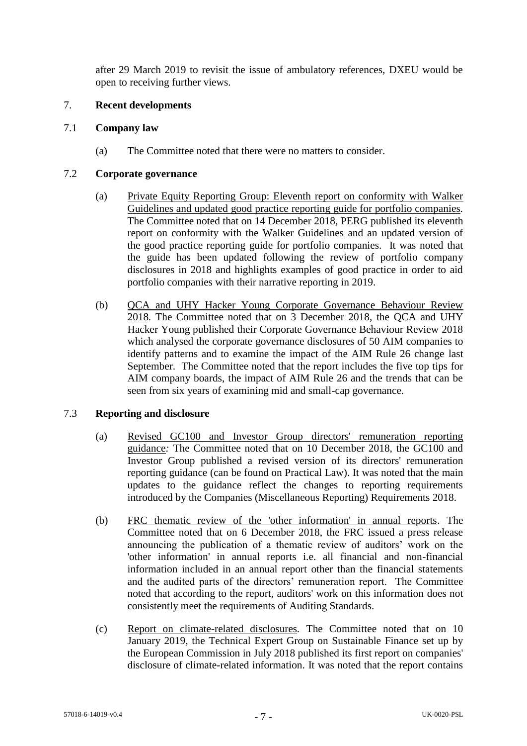after 29 March 2019 to revisit the issue of ambulatory references, DXEU would be open to receiving further views.

### 7. **Recent developments**

## 7.1 **Company law**

(a) The Committee noted that there were no matters to consider.

# 7.2 **Corporate governance**

- (a) Private Equity Reporting Group: Eleventh report on conformity with Walker Guidelines and updated good practice reporting guide for portfolio companies*.* The Committee noted that on 14 December 2018, PERG published its eleventh report on conformity with the Walker Guidelines and an updated version of the good practice reporting guide for portfolio companies. It was noted that the guide has been updated following the review of portfolio company disclosures in 2018 and highlights examples of good practice in order to aid portfolio companies with their narrative reporting in 2019.
- (b) QCA and UHY Hacker Young Corporate Governance Behaviour Review 2018*.* The Committee noted that on 3 December 2018, the QCA and UHY Hacker Young published their Corporate Governance Behaviour Review 2018 which analysed the corporate governance disclosures of 50 AIM companies to identify patterns and to examine the impact of the AIM Rule 26 change last September. The Committee noted that the report includes the five top tips for AIM company boards, the impact of AIM Rule 26 and the trends that can be seen from six years of examining mid and small-cap governance.

# 7.3 **Reporting and disclosure**

- (a) Revised GC100 and Investor Group directors' remuneration reporting guidance*:* The Committee noted that on 10 December 2018, the GC100 and Investor Group published a revised version of its directors' remuneration reporting guidance (can be found on Practical Law). It was noted that the main updates to the guidance reflect the changes to reporting requirements introduced by the Companies (Miscellaneous Reporting) Requirements 2018.
- (b) FRC thematic review of the 'other information' in annual reports. The Committee noted that on 6 December 2018, the FRC issued a press release announcing the publication of a thematic review of auditors' work on the 'other information' in annual reports i.e. all financial and non-financial information included in an annual report other than the financial statements and the audited parts of the directors' remuneration report. The Committee noted that according to the report, auditors' work on this information does not consistently meet the requirements of Auditing Standards.
- (c) Report on climate-related disclosures*.* The Committee noted that on 10 January 2019, the Technical Expert Group on Sustainable Finance set up by the European Commission in July 2018 published its first report on companies' disclosure of climate-related information. It was noted that the report contains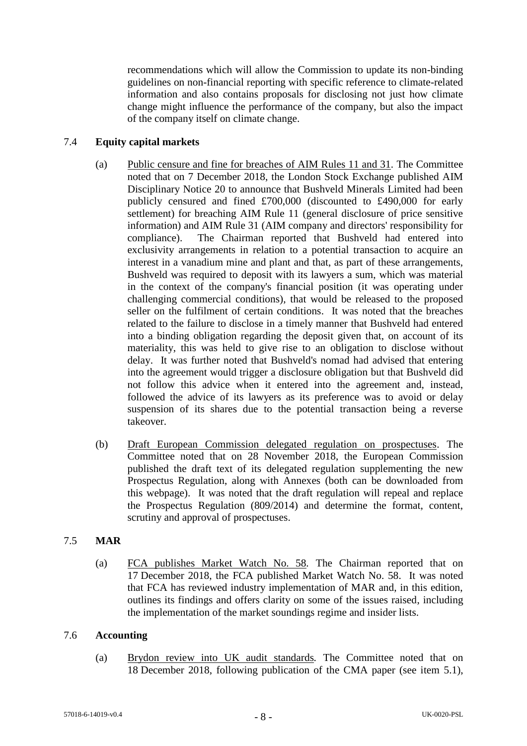recommendations which will allow the Commission to update its non-binding guidelines on non-financial reporting with specific reference to climate-related information and also contains proposals for disclosing not just how climate change might influence the performance of the company, but also the impact of the company itself on climate change.

# 7.4 **Equity capital markets**

- (a) Public censure and fine for breaches of AIM Rules 11 and 31*.* The Committee noted that on 7 December 2018, the London Stock Exchange published AIM Disciplinary Notice 20 to announce that Bushveld Minerals Limited had been publicly censured and fined £700,000 (discounted to £490,000 for early settlement) for breaching AIM Rule 11 (general disclosure of price sensitive information) and AIM Rule 31 (AIM company and directors' responsibility for compliance). The Chairman reported that Bushveld had entered into exclusivity arrangements in relation to a potential transaction to acquire an interest in a vanadium mine and plant and that, as part of these arrangements, Bushveld was required to deposit with its lawyers a sum, which was material in the context of the company's financial position (it was operating under challenging commercial conditions), that would be released to the proposed seller on the fulfilment of certain conditions. It was noted that the breaches related to the failure to disclose in a timely manner that Bushveld had entered into a binding obligation regarding the deposit given that, on account of its materiality, this was held to give rise to an obligation to disclose without delay. It was further noted that Bushveld's nomad had advised that entering into the agreement would trigger a disclosure obligation but that Bushveld did not follow this advice when it entered into the agreement and, instead, followed the advice of its lawyers as its preference was to avoid or delay suspension of its shares due to the potential transaction being a reverse takeover.
- (b) Draft European Commission delegated regulation on prospectuses. The Committee noted that on 28 November 2018, the European Commission published the draft text of its delegated regulation supplementing the new Prospectus Regulation, along with Annexes (both can be downloaded from this webpage). It was noted that the draft regulation will repeal and replace the Prospectus Regulation (809/2014) and determine the format, content, scrutiny and approval of prospectuses.

# 7.5 **MAR**

(a) FCA publishes Market Watch No. 58*.* The Chairman reported that on 17 December 2018, the FCA published Market Watch No. 58. It was noted that FCA has reviewed industry implementation of MAR and, in this edition, outlines its findings and offers clarity on some of the issues raised, including the implementation of the market soundings regime and insider lists.

# 7.6 **Accounting**

(a) Brydon review into UK audit standards*.* The Committee noted that on 18 December 2018, following publication of the CMA paper (see item 5.1),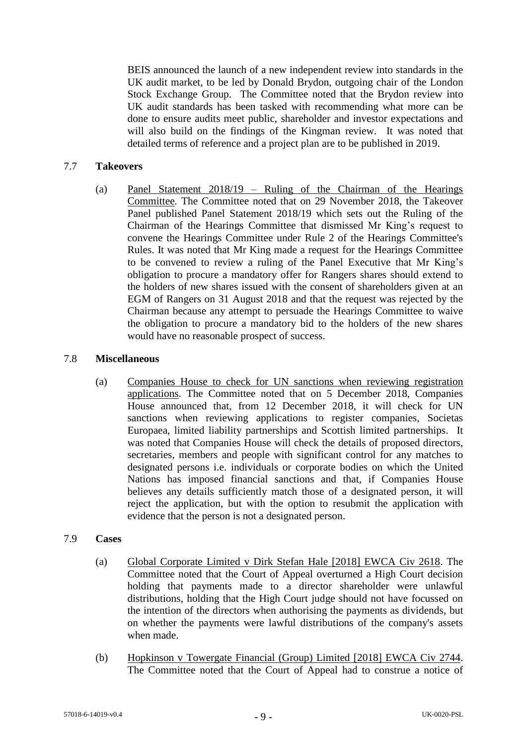BEIS announced the launch of a new independent review into standards in the UK audit market, to be led by Donald Brydon, outgoing chair of the London Stock Exchange Group. The Committee noted that the Brydon review into UK audit standards has been tasked with recommending what more can be done to ensure audits meet public, shareholder and investor expectations and will also build on the findings of the Kingman review. It was noted that detailed terms of reference and a project plan are to be published in 2019.

## 7.7 **Takeovers**

(a) Panel Statement 2018/19 – Ruling of the Chairman of the Hearings Committee*.* The Committee noted that on 29 November 2018, the Takeover Panel published Panel Statement 2018/19 which sets out the Ruling of the Chairman of the Hearings Committee that dismissed Mr King's request to convene the Hearings Committee under Rule 2 of the Hearings Committee's Rules. It was noted that Mr King made a request for the Hearings Committee to be convened to review a ruling of the Panel Executive that Mr King's obligation to procure a mandatory offer for Rangers shares should extend to the holders of new shares issued with the consent of shareholders given at an EGM of Rangers on 31 August 2018 and that the request was rejected by the Chairman because any attempt to persuade the Hearings Committee to waive the obligation to procure a mandatory bid to the holders of the new shares would have no reasonable prospect of success.

### 7.8 **Miscellaneous**

(a) Companies House to check for UN sanctions when reviewing registration applications. The Committee noted that on 5 December 2018, Companies House announced that, from 12 December 2018, it will check for UN sanctions when reviewing applications to register companies, Societas Europaea, limited liability partnerships and Scottish limited partnerships. It was noted that Companies House will check the details of proposed directors, secretaries, members and people with significant control for any matches to designated persons i.e. individuals or corporate bodies on which the United Nations has imposed financial sanctions and that, if Companies House believes any details sufficiently match those of a designated person, it will reject the application, but with the option to resubmit the application with evidence that the person is not a designated person.

### 7.9 **Cases**

- (a) Global Corporate Limited v Dirk Stefan Hale [2018] EWCA Civ 2618. The Committee noted that the Court of Appeal overturned a High Court decision holding that payments made to a director shareholder were unlawful distributions, holding that the High Court judge should not have focussed on the intention of the directors when authorising the payments as dividends, but on whether the payments were lawful distributions of the company's assets when made.
- (b) Hopkinson v Towergate Financial (Group) Limited [2018] EWCA Civ 2744. The Committee noted that the Court of Appeal had to construe a notice of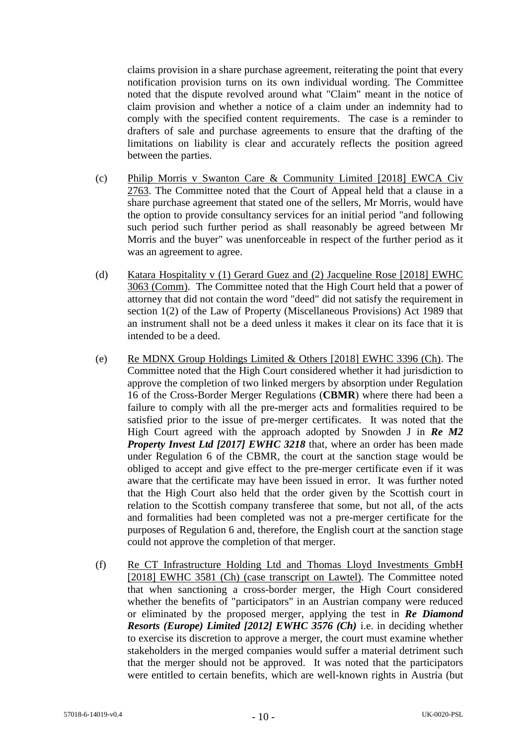claims provision in a share purchase agreement, reiterating the point that every notification provision turns on its own individual wording. The Committee noted that the dispute revolved around what "Claim" meant in the notice of claim provision and whether a notice of a claim under an indemnity had to comply with the specified content requirements. The case is a reminder to drafters of sale and purchase agreements to ensure that the drafting of the limitations on liability is clear and accurately reflects the position agreed between the parties.

- (c) Philip Morris v Swanton Care & Community Limited [2018] EWCA Civ 2763. The Committee noted that the Court of Appeal held that a clause in a share purchase agreement that stated one of the sellers, Mr Morris, would have the option to provide consultancy services for an initial period "and following such period such further period as shall reasonably be agreed between Mr Morris and the buyer" was unenforceable in respect of the further period as it was an agreement to agree.
- (d) Katara Hospitality v (1) Gerard Guez and (2) Jacqueline Rose [2018] EWHC 3063 (Comm). The Committee noted that the High Court held that a power of attorney that did not contain the word "deed" did not satisfy the requirement in section 1(2) of the Law of Property (Miscellaneous Provisions) Act 1989 that an instrument shall not be a deed unless it makes it clear on its face that it is intended to be a deed.
- (e) Re MDNX Group Holdings Limited & Others  $[2018]$  EWHC 3396 (Ch). The Committee noted that the High Court considered whether it had jurisdiction to approve the completion of two linked mergers by absorption under Regulation 16 of the Cross-Border Merger Regulations (**CBMR**) where there had been a failure to comply with all the pre-merger acts and formalities required to be satisfied prior to the issue of pre-merger certificates. It was noted that the High Court agreed with the approach adopted by Snowden J in *Re M2 Property Invest Ltd [2017] EWHC 3218* that, where an order has been made under Regulation 6 of the CBMR, the court at the sanction stage would be obliged to accept and give effect to the pre-merger certificate even if it was aware that the certificate may have been issued in error. It was further noted that the High Court also held that the order given by the Scottish court in relation to the Scottish company transferee that some, but not all, of the acts and formalities had been completed was not a pre-merger certificate for the purposes of Regulation 6 and, therefore, the English court at the sanction stage could not approve the completion of that merger.
- (f) Re CT Infrastructure Holding Ltd and Thomas Lloyd Investments GmbH [2018] EWHC 3581 (Ch) (case transcript on Lawtel). The Committee noted that when sanctioning a cross-border merger, the High Court considered whether the benefits of "participators" in an Austrian company were reduced or eliminated by the proposed merger, applying the test in *Re Diamond Resorts (Europe) Limited [2012] EWHC 3576 (Ch)* i.e. in deciding whether to exercise its discretion to approve a merger, the court must examine whether stakeholders in the merged companies would suffer a material detriment such that the merger should not be approved. It was noted that the participators were entitled to certain benefits, which are well-known rights in Austria (but